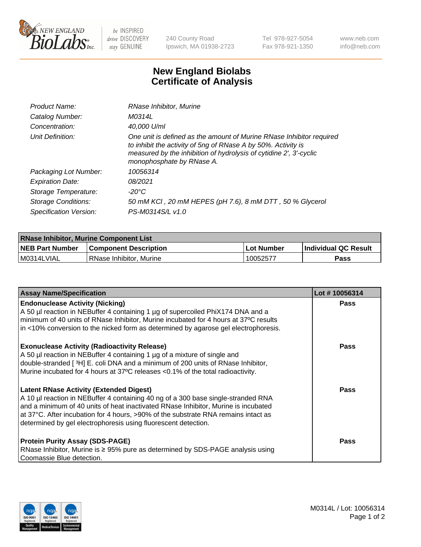

 $be$  INSPIRED drive DISCOVERY stay GENUINE

240 County Road Ipswich, MA 01938-2723 Tel 978-927-5054 Fax 978-921-1350 www.neb.com info@neb.com

## **New England Biolabs Certificate of Analysis**

| Product Name:           | RNase Inhibitor, Murine                                                                                                                                                                                                                  |
|-------------------------|------------------------------------------------------------------------------------------------------------------------------------------------------------------------------------------------------------------------------------------|
| Catalog Number:         | M0314L                                                                                                                                                                                                                                   |
| Concentration:          | 40,000 U/ml                                                                                                                                                                                                                              |
| Unit Definition:        | One unit is defined as the amount of Murine RNase Inhibitor required<br>to inhibit the activity of 5ng of RNase A by 50%. Activity is<br>measured by the inhibition of hydrolysis of cytidine 2', 3'-cyclic<br>monophosphate by RNase A. |
| Packaging Lot Number:   | 10056314                                                                                                                                                                                                                                 |
| <b>Expiration Date:</b> | 08/2021                                                                                                                                                                                                                                  |
| Storage Temperature:    | -20°C                                                                                                                                                                                                                                    |
| Storage Conditions:     | 50 mM KCI, 20 mM HEPES (pH 7.6), 8 mM DTT, 50 % Glycerol                                                                                                                                                                                 |
| Specification Version:  | PS-M0314S/L v1.0                                                                                                                                                                                                                         |

| <b>RNase Inhibitor, Murine Component List</b> |                              |            |                             |  |
|-----------------------------------------------|------------------------------|------------|-----------------------------|--|
| <b>NEB Part Number</b>                        | <b>Component Description</b> | Lot Number | <b>Individual QC Result</b> |  |
| M0314LVIAL                                    | RNase Inhibitor, Murine      | 10052577   | <b>Pass</b>                 |  |

| <b>Assay Name/Specification</b>                                                                                                                                                                                                                                                                                                                                                   | Lot #10056314 |
|-----------------------------------------------------------------------------------------------------------------------------------------------------------------------------------------------------------------------------------------------------------------------------------------------------------------------------------------------------------------------------------|---------------|
| <b>Endonuclease Activity (Nicking)</b><br>A 50 µl reaction in NEBuffer 4 containing 1 µg of supercoiled PhiX174 DNA and a<br>minimum of 40 units of RNase Inhibitor, Murine incubated for 4 hours at 37°C results<br>in <10% conversion to the nicked form as determined by agarose gel electrophoresis.                                                                          | Pass          |
| <b>Exonuclease Activity (Radioactivity Release)</b><br>A 50 µl reaction in NEBuffer 4 containing 1 µg of a mixture of single and<br>double-stranded [3H] E. coli DNA and a minimum of 200 units of RNase Inhibitor,<br>Murine incubated for 4 hours at 37°C releases <0.1% of the total radioactivity.                                                                            | <b>Pass</b>   |
| <b>Latent RNase Activity (Extended Digest)</b><br>A 10 µl reaction in NEBuffer 4 containing 40 ng of a 300 base single-stranded RNA<br>and a minimum of 40 units of heat inactivated RNase Inhibitor, Murine is incubated<br>at 37°C. After incubation for 4 hours, >90% of the substrate RNA remains intact as<br>determined by gel electrophoresis using fluorescent detection. | <b>Pass</b>   |
| <b>Protein Purity Assay (SDS-PAGE)</b><br>RNase Inhibitor, Murine is ≥ 95% pure as determined by SDS-PAGE analysis using<br>Coomassie Blue detection.                                                                                                                                                                                                                             | <b>Pass</b>   |